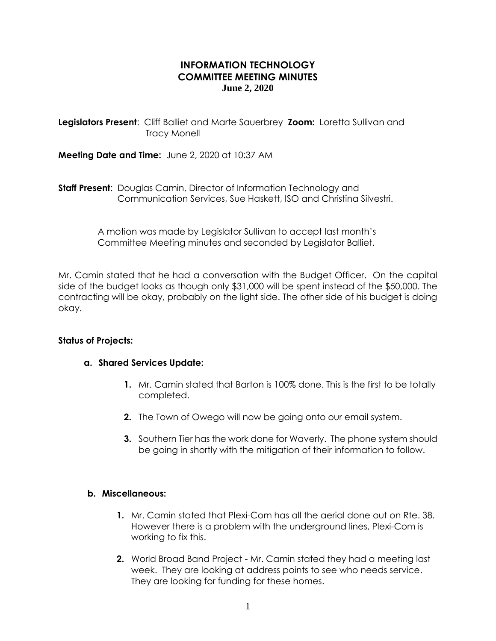# **INFORMATION TECHNOLOGY COMMITTEE MEETING MINUTES June 2, 2020**

**Legislators Present**: Cliff Balliet and Marte Sauerbrey **Zoom:** Loretta Sullivan and Tracy Monell

**Meeting Date and Time:** June 2, 2020 at 10:37 AM

**Staff Present**: Douglas Camin, Director of Information Technology and Communication Services, Sue Haskett, ISO and Christina Silvestri.

> A motion was made by Legislator Sullivan to accept last month's Committee Meeting minutes and seconded by Legislator Balliet.

Mr. Camin stated that he had a conversation with the Budget Officer. On the capital side of the budget looks as though only \$31,000 will be spent instead of the \$50,000. The contracting will be okay, probably on the light side. The other side of his budget is doing okay.

### **Status of Projects:**

### **a. Shared Services Update:**

- **1.** Mr. Camin stated that Barton is 100% done. This is the first to be totally completed.
- **2.** The Town of Owego will now be going onto our email system.
- **3.** Southern Tier has the work done for Waverly. The phone system should be going in shortly with the mitigation of their information to follow.

### **b. Miscellaneous:**

- **1.** Mr. Camin stated that Plexi-Com has all the aerial done out on Rte. 38. However there is a problem with the underground lines, Plexi-Com is working to fix this.
- **2.** World Broad Band Project Mr. Camin stated they had a meeting last week. They are looking at address points to see who needs service. They are looking for funding for these homes.